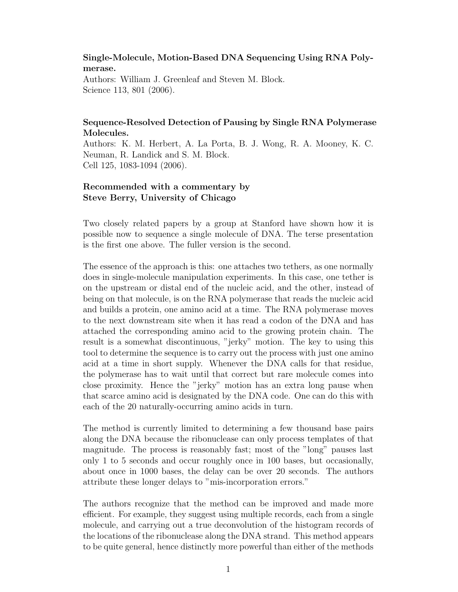## Single-Molecule, Motion-Based DNA Sequencing Using RNA Polymerase.

Authors: William J. Greenleaf and Steven M. Block. Science 113, 801 (2006).

## Sequence-Resolved Detection of Pausing by Single RNA Polymerase Molecules.

Authors: K. M. Herbert, A. La Porta, B. J. Wong, R. A. Mooney, K. C. Neuman, R. Landick and S. M. Block. Cell 125, 1083-1094 (2006).

## Recommended with a commentary by Steve Berry, University of Chicago

Two closely related papers by a group at Stanford have shown how it is possible now to sequence a single molecule of DNA. The terse presentation is the first one above. The fuller version is the second.

The essence of the approach is this: one attaches two tethers, as one normally does in single-molecule manipulation experiments. In this case, one tether is on the upstream or distal end of the nucleic acid, and the other, instead of being on that molecule, is on the RNA polymerase that reads the nucleic acid and builds a protein, one amino acid at a time. The RNA polymerase moves to the next downstream site when it has read a codon of the DNA and has attached the corresponding amino acid to the growing protein chain. The result is a somewhat discontinuous, "jerky" motion. The key to using this tool to determine the sequence is to carry out the process with just one amino acid at a time in short supply. Whenever the DNA calls for that residue, the polymerase has to wait until that correct but rare molecule comes into close proximity. Hence the "jerky" motion has an extra long pause when that scarce amino acid is designated by the DNA code. One can do this with each of the 20 naturally-occurring amino acids in turn.

The method is currently limited to determining a few thousand base pairs along the DNA because the ribonuclease can only process templates of that magnitude. The process is reasonably fast; most of the "long" pauses last only 1 to 5 seconds and occur roughly once in 100 bases, but occasionally, about once in 1000 bases, the delay can be over 20 seconds. The authors attribute these longer delays to "mis-incorporation errors."

The authors recognize that the method can be improved and made more efficient. For example, they suggest using multiple records, each from a single molecule, and carrying out a true deconvolution of the histogram records of the locations of the ribonuclease along the DNA strand. This method appears to be quite general, hence distinctly more powerful than either of the methods